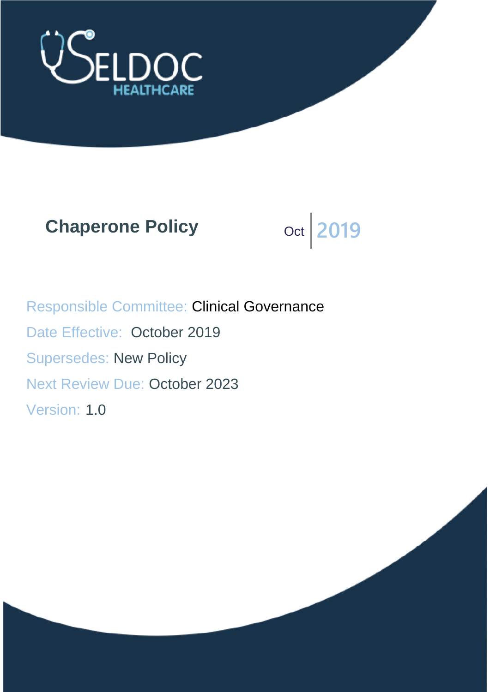

# **Chaperone Policy** Oct 2019



Responsible Committee: Clinical Governance Date Effective: October 2019 Supersedes: New Policy Next Review Due: October 2023 Version: 1.0

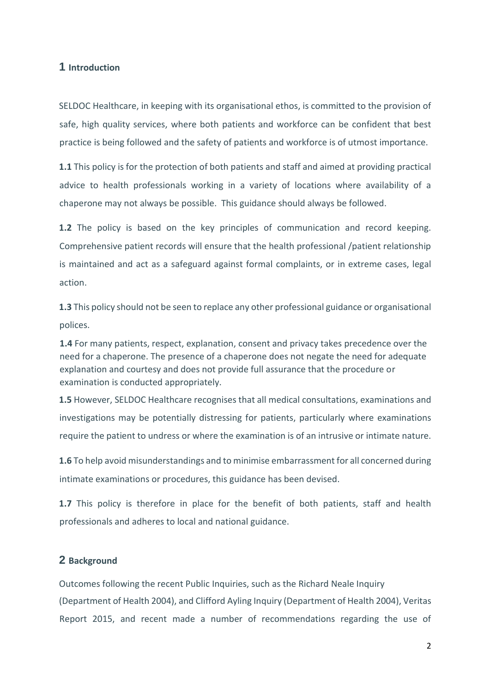## **1 Introduction**

SELDOC Healthcare, in keeping with its organisational ethos, is committed to the provision of safe, high quality services, where both patients and workforce can be confident that best practice is being followed and the safety of patients and workforce is of utmost importance.

**1.1** This policy is for the protection of both patients and staff and aimed at providing practical advice to health professionals working in a variety of locations where availability of a chaperone may not always be possible. This guidance should always be followed.

**1.2** The policy is based on the key principles of communication and record keeping. Comprehensive patient records will ensure that the health professional /patient relationship is maintained and act as a safeguard against formal complaints, or in extreme cases, legal action.

**1.3** This policy should not be seen to replace any other professional guidance or organisational polices.

**1.4** For many patients, respect, explanation, consent and privacy takes precedence over the need for a chaperone. The presence of a chaperone does not negate the need for adequate explanation and courtesy and does not provide full assurance that the procedure or examination is conducted appropriately.

**1.5** However, SELDOC Healthcare recognises that all medical consultations, examinations and investigations may be potentially distressing for patients, particularly where examinations require the patient to undress or where the examination is of an intrusive or intimate nature.

**1.6** To help avoid misunderstandings and to minimise embarrassment for all concerned during intimate examinations or procedures, this guidance has been devised.

**1.7** This policy is therefore in place for the benefit of both patients, staff and health professionals and adheres to local and national guidance.

#### **2 Background**

Outcomes following the recent Public Inquiries, such as the Richard Neale Inquiry (Department of Health 2004), and Clifford Ayling Inquiry (Department of Health 2004), Veritas Report 2015, and recent made a number of recommendations regarding the use of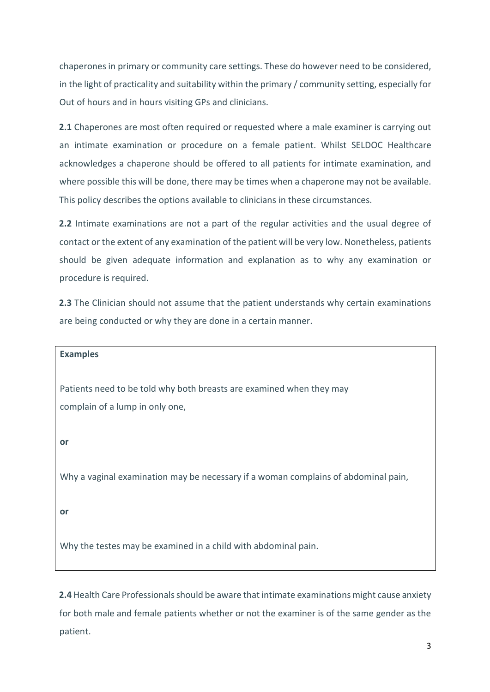chaperones in primary or community care settings. These do however need to be considered, in the light of practicality and suitability within the primary / community setting, especially for Out of hours and in hours visiting GPs and clinicians.

**2.1** Chaperones are most often required or requested where a male examiner is carrying out an intimate examination or procedure on a female patient. Whilst SELDOC Healthcare acknowledges a chaperone should be offered to all patients for intimate examination, and where possible this will be done, there may be times when a chaperone may not be available. This policy describes the options available to clinicians in these circumstances.

**2.2** Intimate examinations are not a part of the regular activities and the usual degree of contact or the extent of any examination of the patient will be very low. Nonetheless, patients should be given adequate information and explanation as to why any examination or procedure is required.

**2.3** The Clinician should not assume that the patient understands why certain examinations are being conducted or why they are done in a certain manner.

**Examples** 

Patients need to be told why both breasts are examined when they may complain of a lump in only one,

**or** 

Why a vaginal examination may be necessary if a woman complains of abdominal pain,

**or** 

Why the testes may be examined in a child with abdominal pain.

**2.4** Health Care Professionals should be aware that intimate examinations might cause anxiety for both male and female patients whether or not the examiner is of the same gender as the patient.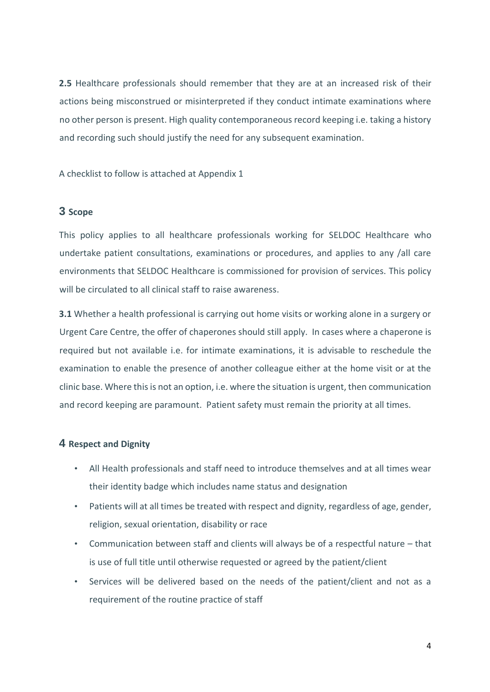**2.5** Healthcare professionals should remember that they are at an increased risk of their actions being misconstrued or misinterpreted if they conduct intimate examinations where no other person is present. High quality contemporaneous record keeping i.e. taking a history and recording such should justify the need for any subsequent examination.

A checklist to follow is attached at Appendix 1

## **3 Scope**

This policy applies to all healthcare professionals working for SELDOC Healthcare who undertake patient consultations, examinations or procedures, and applies to any /all care environments that SELDOC Healthcare is commissioned for provision of services. This policy will be circulated to all clinical staff to raise awareness.

**3.1** Whether a health professional is carrying out home visits or working alone in a surgery or Urgent Care Centre, the offer of chaperones should still apply. In cases where a chaperone is required but not available i.e. for intimate examinations, it is advisable to reschedule the examination to enable the presence of another colleague either at the home visit or at the clinic base. Where this is not an option, i.e. where the situation is urgent, then communication and record keeping are paramount. Patient safety must remain the priority at all times.

### **4 Respect and Dignity**

- All Health professionals and staff need to introduce themselves and at all times wear their identity badge which includes name status and designation
- Patients will at all times be treated with respect and dignity, regardless of age, gender, religion, sexual orientation, disability or race
- Communication between staff and clients will always be of a respectful nature that is use of full title until otherwise requested or agreed by the patient/client
- Services will be delivered based on the needs of the patient/client and not as a requirement of the routine practice of staff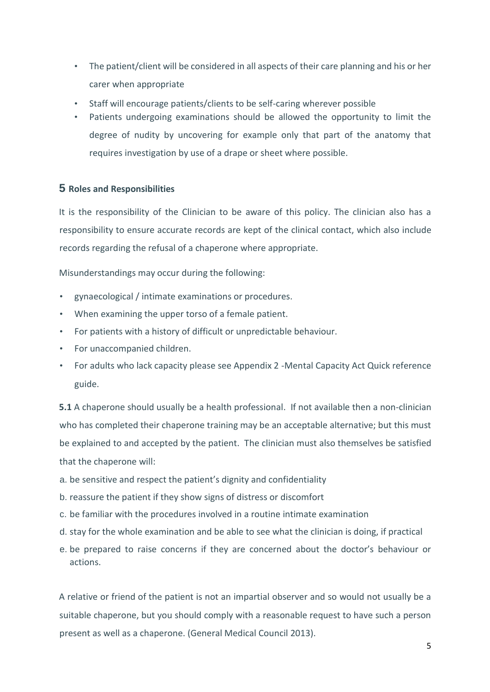- The patient/client will be considered in all aspects of their care planning and his or her carer when appropriate
- Staff will encourage patients/clients to be self-caring wherever possible
- Patients undergoing examinations should be allowed the opportunity to limit the degree of nudity by uncovering for example only that part of the anatomy that requires investigation by use of a drape or sheet where possible.

## **5 Roles and Responsibilities**

It is the responsibility of the Clinician to be aware of this policy. The clinician also has a responsibility to ensure accurate records are kept of the clinical contact, which also include records regarding the refusal of a chaperone where appropriate.

Misunderstandings may occur during the following:

- gynaecological / intimate examinations or procedures.
- When examining the upper torso of a female patient.
- For patients with a history of difficult or unpredictable behaviour.
- For unaccompanied children.
- For adults who lack capacity please see Appendix 2 -Mental Capacity Act Quick reference guide.

**5.1** A chaperone should usually be a health professional. If not available then a non-clinician who has completed their chaperone training may be an acceptable alternative; but this must be explained to and accepted by the patient. The clinician must also themselves be satisfied that the chaperone will:

- a. be sensitive and respect the patient's dignity and confidentiality
- b. reassure the patient if they show signs of distress or discomfort
- c. be familiar with the procedures involved in a routine intimate examination
- d. stay for the whole examination and be able to see what the clinician is doing, if practical
- e. be prepared to raise concerns if they are concerned about the doctor's behaviour or actions.

A relative or friend of the patient is not an impartial observer and so would not usually be a suitable chaperone, but you should comply with a reasonable request to have such a person present as well as a chaperone. (General Medical Council 2013).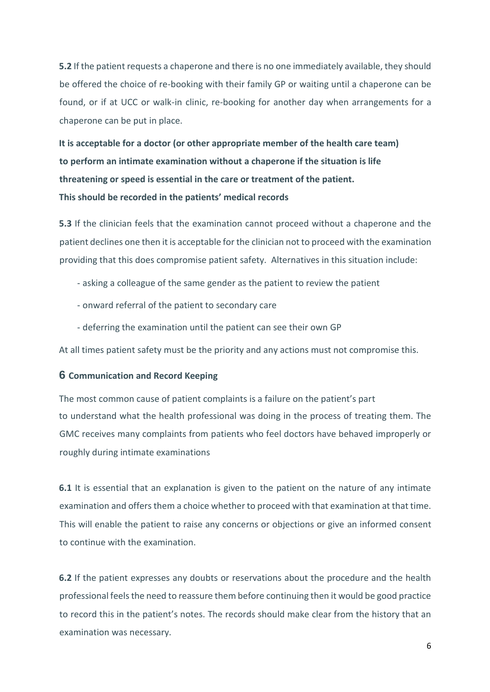**5.2** If the patient requests a chaperone and there is no one immediately available, they should be offered the choice of re-booking with their family GP or waiting until a chaperone can be found, or if at UCC or walk-in clinic, re-booking for another day when arrangements for a chaperone can be put in place.

**It is acceptable for a doctor (or other appropriate member of the health care team) to perform an intimate examination without a chaperone if the situation is life threatening or speed is essential in the care or treatment of the patient. This should be recorded in the patients' medical records** 

**5.3** If the clinician feels that the examination cannot proceed without a chaperone and the patient declines one then it is acceptable for the clinician not to proceed with the examination providing that this does compromise patient safety. Alternatives in this situation include:

- asking a colleague of the same gender as the patient to review the patient
- onward referral of the patient to secondary care
- deferring the examination until the patient can see their own GP

At all times patient safety must be the priority and any actions must not compromise this.

#### **6 Communication and Record Keeping**

The most common cause of patient complaints is a failure on the patient's part to understand what the health professional was doing in the process of treating them. The GMC receives many complaints from patients who feel doctors have behaved improperly or roughly during intimate examinations

**6.1** It is essential that an explanation is given to the patient on the nature of any intimate examination and offers them a choice whether to proceed with that examination at that time. This will enable the patient to raise any concerns or objections or give an informed consent to continue with the examination.

**6.2** If the patient expresses any doubts or reservations about the procedure and the health professional feels the need to reassure them before continuing then it would be good practice to record this in the patient's notes. The records should make clear from the history that an examination was necessary.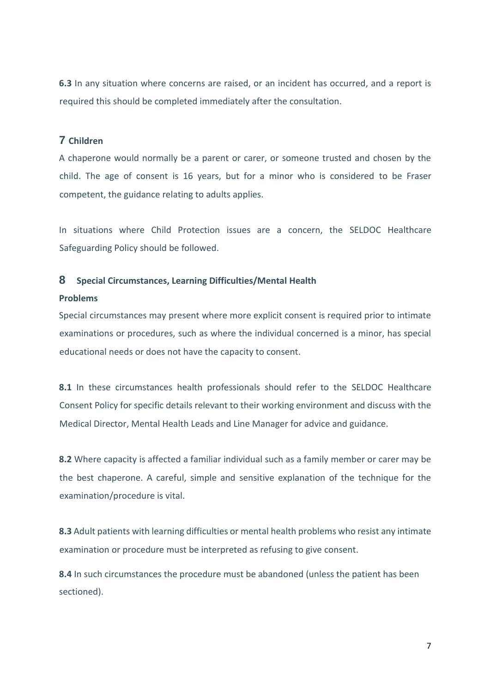**6.3** In any situation where concerns are raised, or an incident has occurred, and a report is required this should be completed immediately after the consultation.

# **7 Children**

A chaperone would normally be a parent or carer, or someone trusted and chosen by the child. The age of consent is 16 years, but for a minor who is considered to be Fraser competent, the guidance relating to adults applies.

In situations where Child Protection issues are a concern, the SELDOC Healthcare Safeguarding Policy should be followed.

### **8 Special Circumstances, Learning Difficulties/Mental Health**

#### **Problems**

Special circumstances may present where more explicit consent is required prior to intimate examinations or procedures, such as where the individual concerned is a minor, has special educational needs or does not have the capacity to consent.

**8.1** In these circumstances health professionals should refer to the SELDOC Healthcare Consent Policy for specific details relevant to their working environment and discuss with the Medical Director, Mental Health Leads and Line Manager for advice and guidance.

**8.2** Where capacity is affected a familiar individual such as a family member or carer may be the best chaperone. A careful, simple and sensitive explanation of the technique for the examination/procedure is vital.

**8.3** Adult patients with learning difficulties or mental health problems who resist any intimate examination or procedure must be interpreted as refusing to give consent.

**8.4** In such circumstances the procedure must be abandoned (unless the patient has been sectioned).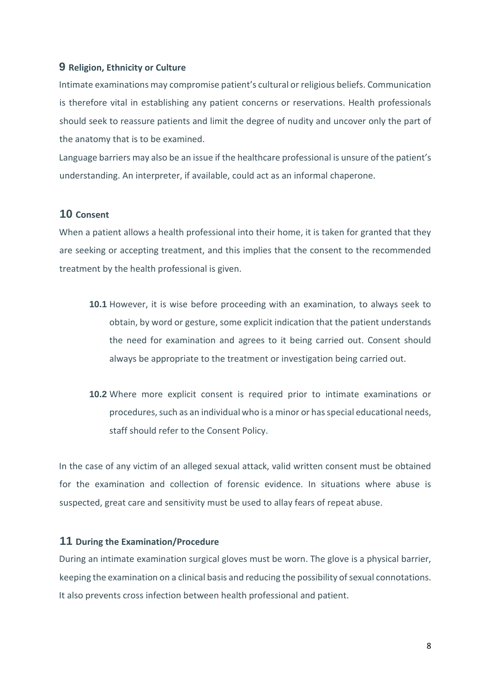### **9 Religion, Ethnicity or Culture**

Intimate examinations may compromise patient's cultural or religious beliefs. Communication is therefore vital in establishing any patient concerns or reservations. Health professionals should seek to reassure patients and limit the degree of nudity and uncover only the part of the anatomy that is to be examined.

Language barriers may also be an issue if the healthcare professional is unsure of the patient's understanding. An interpreter, if available, could act as an informal chaperone.

## **10 Consent**

When a patient allows a health professional into their home, it is taken for granted that they are seeking or accepting treatment, and this implies that the consent to the recommended treatment by the health professional is given.

- **10.1** However, it is wise before proceeding with an examination, to always seek to obtain, by word or gesture, some explicit indication that the patient understands the need for examination and agrees to it being carried out. Consent should always be appropriate to the treatment or investigation being carried out.
- **10.2** Where more explicit consent is required prior to intimate examinations or procedures, such as an individual who is a minor or has special educational needs, staff should refer to the Consent Policy.

In the case of any victim of an alleged sexual attack, valid written consent must be obtained for the examination and collection of forensic evidence. In situations where abuse is suspected, great care and sensitivity must be used to allay fears of repeat abuse.

## **11 During the Examination/Procedure**

During an intimate examination surgical gloves must be worn. The glove is a physical barrier, keeping the examination on a clinical basis and reducing the possibility of sexual connotations. It also prevents cross infection between health professional and patient.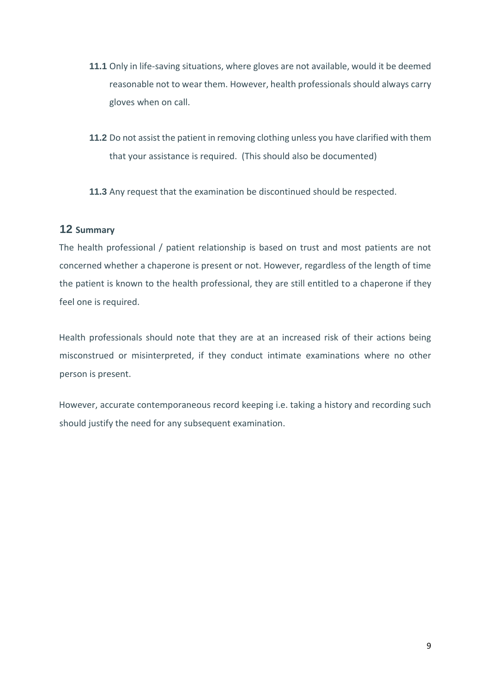- **11.1** Only in life-saving situations, where gloves are not available, would it be deemed reasonable not to wear them. However, health professionals should always carry gloves when on call.
- **11.2** Do not assist the patient in removing clothing unless you have clarified with them that your assistance is required. (This should also be documented)

**11.3** Any request that the examination be discontinued should be respected.

# **12 Summary**

The health professional / patient relationship is based on trust and most patients are not concerned whether a chaperone is present or not. However, regardless of the length of time the patient is known to the health professional, they are still entitled to a chaperone if they feel one is required.

Health professionals should note that they are at an increased risk of their actions being misconstrued or misinterpreted, if they conduct intimate examinations where no other person is present.

However, accurate contemporaneous record keeping i.e. taking a history and recording such should justify the need for any subsequent examination.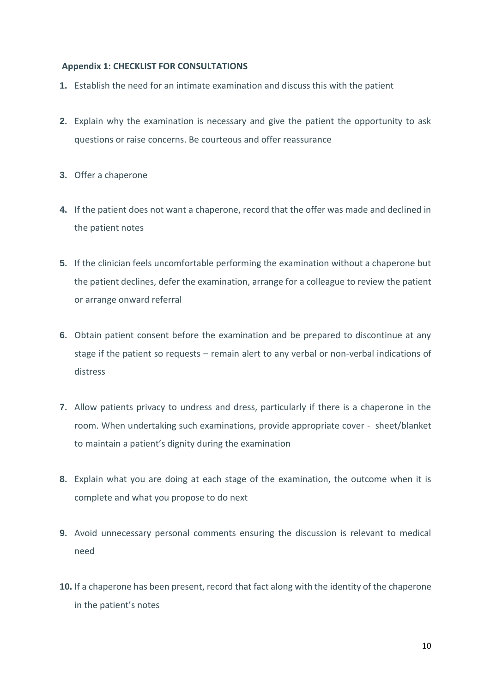#### **Appendix 1: CHECKLIST FOR CONSULTATIONS**

- **1.** Establish the need for an intimate examination and discuss this with the patient
- **2.** Explain why the examination is necessary and give the patient the opportunity to ask questions or raise concerns. Be courteous and offer reassurance
- **3.** Offer a chaperone
- **4.** If the patient does not want a chaperone, record that the offer was made and declined in the patient notes
- **5.** If the clinician feels uncomfortable performing the examination without a chaperone but the patient declines, defer the examination, arrange for a colleague to review the patient or arrange onward referral
- **6.** Obtain patient consent before the examination and be prepared to discontinue at any stage if the patient so requests – remain alert to any verbal or non-verbal indications of distress
- **7.** Allow patients privacy to undress and dress, particularly if there is a chaperone in the room. When undertaking such examinations, provide appropriate cover - sheet/blanket to maintain a patient's dignity during the examination
- **8.** Explain what you are doing at each stage of the examination, the outcome when it is complete and what you propose to do next
- **9.** Avoid unnecessary personal comments ensuring the discussion is relevant to medical need
- **10.** If a chaperone has been present, record that fact along with the identity of the chaperone in the patient's notes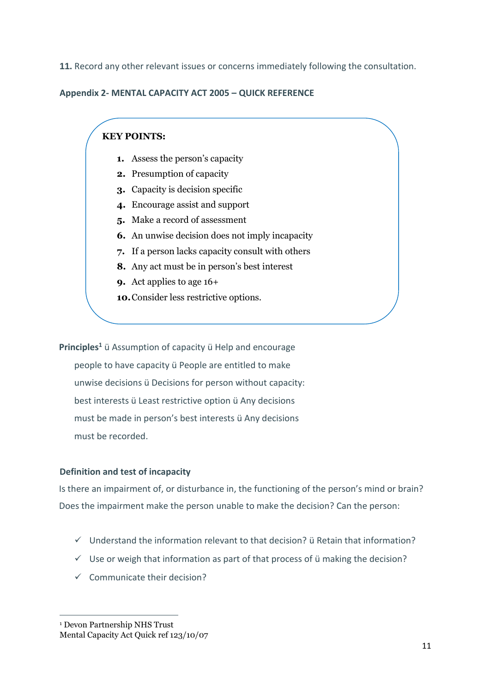**11.** Record any other relevant issues or concerns immediately following the consultation.

## **Appendix 2- MENTAL CAPACITY ACT 2005 – QUICK REFERENCE**

# **KEY POINTS:**

- **1.** Assess the person's capacity
- **2.** Presumption of capacity
- **3.** Capacity is decision specific
- **4.** Encourage assist and support
- **5.** Make a record of assessment
- **6.** An unwise decision does not imply incapacity
- **7.** If a person lacks capacity consult with others
- **8.** Any act must be in person's best interest
- **9.** Act applies to age 16+
- **10.**Consider less restrictive options.

**Principles<sup>1</sup>** ü Assumption of capacity ü Help and encourage people to have capacity ü People are entitled to make unwise decisions ü Decisions for person without capacity: best interests ü Least restrictive option ü Any decisions must be made in person's best interests ü Any decisions must be recorded.

### **Definition and test of incapacity**

Is there an impairment of, or disturbance in, the functioning of the person's mind or brain? Does the impairment make the person unable to make the decision? Can the person:

- $\checkmark$  Understand the information relevant to that decision? ü Retain that information?
- $\checkmark$  Use or weigh that information as part of that process of  $\ddot{u}$  making the decision?
- $\checkmark$  Communicate their decision?

<sup>1</sup> Devon Partnership NHS Trust Mental Capacity Act Quick ref 123/10/07